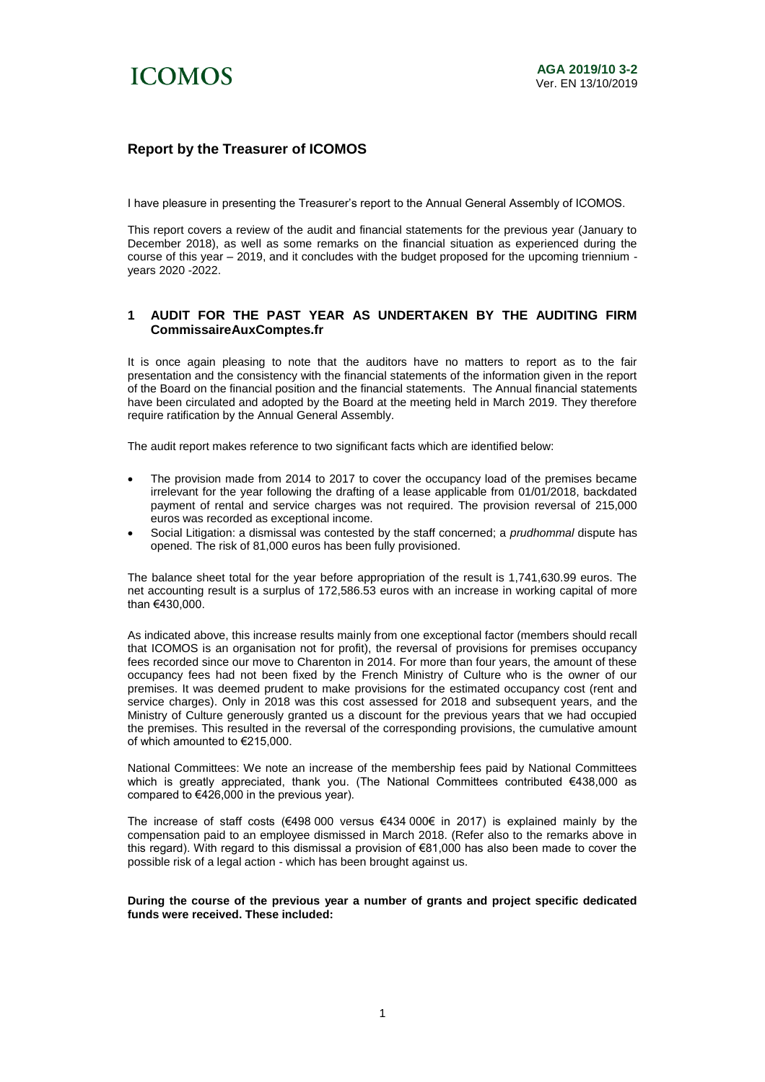

## **Report by the Treasurer of ICOMOS**

I have pleasure in presenting the Treasurer's report to the Annual General Assembly of ICOMOS.

This report covers a review of the audit and financial statements for the previous year (January to December 2018), as well as some remarks on the financial situation as experienced during the course of this year – 2019, and it concludes with the budget proposed for the upcoming triennium years 2020 -2022.

### **1 AUDIT FOR THE PAST YEAR AS UNDERTAKEN BY THE AUDITING FIRM CommissaireAuxComptes.fr**

It is once again pleasing to note that the auditors have no matters to report as to the fair presentation and the consistency with the financial statements of the information given in the report of the Board on the financial position and the financial statements. The Annual financial statements have been circulated and adopted by the Board at the meeting held in March 2019. They therefore require ratification by the Annual General Assembly.

The audit report makes reference to two significant facts which are identified below:

- The provision made from 2014 to 2017 to cover the occupancy load of the premises became irrelevant for the year following the drafting of a lease applicable from 01/01/2018, backdated payment of rental and service charges was not required. The provision reversal of 215,000 euros was recorded as exceptional income.
- Social Litigation: a dismissal was contested by the staff concerned; a *prudhommal* dispute has opened. The risk of 81,000 euros has been fully provisioned.

The balance sheet total for the year before appropriation of the result is 1,741,630.99 euros. The net accounting result is a surplus of 172,586.53 euros with an increase in working capital of more than €430,000.

As indicated above, this increase results mainly from one exceptional factor (members should recall that ICOMOS is an organisation not for profit), the reversal of provisions for premises occupancy fees recorded since our move to Charenton in 2014. For more than four years, the amount of these occupancy fees had not been fixed by the French Ministry of Culture who is the owner of our premises. It was deemed prudent to make provisions for the estimated occupancy cost (rent and service charges). Only in 2018 was this cost assessed for 2018 and subsequent years, and the Ministry of Culture generously granted us a discount for the previous years that we had occupied the premises. This resulted in the reversal of the corresponding provisions, the cumulative amount of which amounted to €215,000.

National Committees: We note an increase of the membership fees paid by National Committees which is greatly appreciated, thank you. (The National Committees contributed €438,000 as compared to €426,000 in the previous year).

The increase of staff costs (€498 000 versus €434 000€ in 2017) is explained mainly by the compensation paid to an employee dismissed in March 2018. (Refer also to the remarks above in this regard). With regard to this dismissal a provision of €81,000 has also been made to cover the possible risk of a legal action - which has been brought against us.

#### **During the course of the previous year a number of grants and project specific dedicated funds were received. These included:**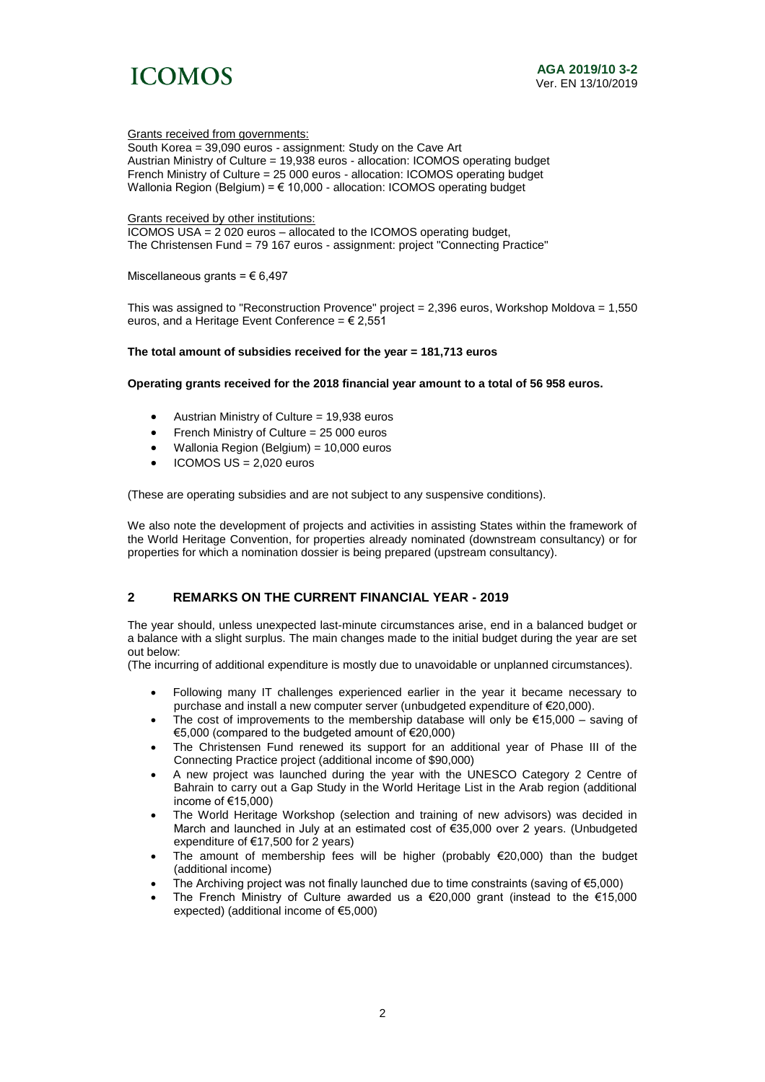

#### Grants received from governments:

South Korea = 39,090 euros - assignment: Study on the Cave Art Austrian Ministry of Culture = 19,938 euros - allocation: ICOMOS operating budget French Ministry of Culture = 25 000 euros - allocation: ICOMOS operating budget Wallonia Region (Belgium) = € 10,000 - allocation: ICOMOS operating budget

Grants received by other institutions:

ICOMOS USA = 2 020 euros – allocated to the ICOMOS operating budget, The Christensen Fund = 79 167 euros - assignment: project "Connecting Practice"

Miscellaneous grants =  $\epsilon$  6,497

This was assigned to "Reconstruction Provence" project = 2,396 euros, Workshop Moldova = 1,550 euros, and a Heritage Event Conference =  $\epsilon$  2,551

#### **The total amount of subsidies received for the year = 181,713 euros**

#### **Operating grants received for the 2018 financial year amount to a total of 56 958 euros.**

- Austrian Ministry of Culture = 19,938 euros
- French Ministry of Culture = 25 000 euros
- Wallonia Region (Belgium) = 10,000 euros
- ICOMOS US = 2,020 euros

(These are operating subsidies and are not subject to any suspensive conditions).

We also note the development of projects and activities in assisting States within the framework of the World Heritage Convention, for properties already nominated (downstream consultancy) or for properties for which a nomination dossier is being prepared (upstream consultancy).

## **2 REMARKS ON THE CURRENT FINANCIAL YEAR - 2019**

The year should, unless unexpected last-minute circumstances arise, end in a balanced budget or a balance with a slight surplus. The main changes made to the initial budget during the year are set out below:

(The incurring of additional expenditure is mostly due to unavoidable or unplanned circumstances).

- Following many IT challenges experienced earlier in the year it became necessary to purchase and install a new computer server (unbudgeted expenditure of €20,000).
- The cost of improvements to the membership database will only be  $\epsilon$ 15,000 saving of €5,000 (compared to the budgeted amount of €20,000)
- The Christensen Fund renewed its support for an additional year of Phase III of the Connecting Practice project (additional income of \$90,000)
- A new project was launched during the year with the UNESCO Category 2 Centre of Bahrain to carry out a Gap Study in the World Heritage List in the Arab region (additional income of €15,000)
- The World Heritage Workshop (selection and training of new advisors) was decided in March and launched in July at an estimated cost of €35,000 over 2 years. (Unbudgeted expenditure of €17,500 for 2 years)
- The amount of membership fees will be higher (probably €20,000) than the budget (additional income)
- The Archiving project was not finally launched due to time constraints (saving of  $\epsilon$ 5,000)
- The French Ministry of Culture awarded us a €20,000 grant (instead to the €15,000 expected) (additional income of €5,000)